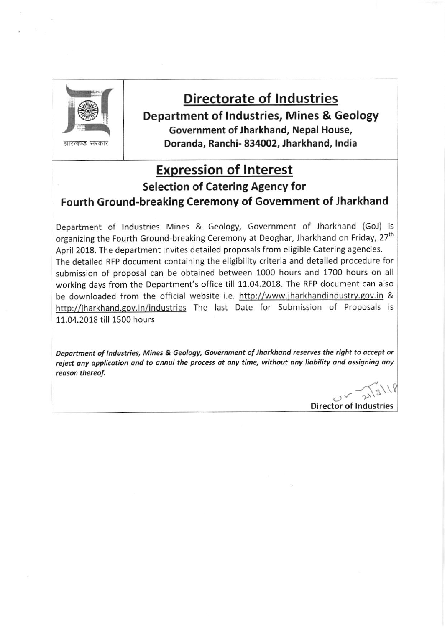

द्यारखण्ड सरकार

# Directorate of Industries

Department of lndustries, Mines & Geology Government of Jharkhand, Nepal House, Doranda, Ranchi- 834002, Jharkhand, lndia

# Expression of lnterest

Selection of Catering Agency for

## Fourth Ground-breaking Ceremony of Government of Jharkhand

Department of Industries Mines & Geology, Government of Jharkhand (GoJ) is organizing the Fourth Ground-breaking Ceremony at Deoghar, Jharkhand on Friday, 27<sup>th</sup> April 2018. The department invites detailed proposals from eligible catering agencies. The detailed RFP document containing the eligibility criteria and detailed procedure for submission of proposal can be obtained between 1000 hours and 1700 hours on all working days from the Department's office till 11.04.2018. The RFP document can also be downloaded from the official website i.e. http://www.jharkhandindustry.gov.in & http://jharkhand.gov.in/industries The last Date for Submission of Proposals is 11.04.2018 till 1500 hours

Department of Industries, Mines & Geology, Government of Jharkhand reserves the right to accept or reject any application and to annul the process at any time, without any liability and assigning any reason thereof.

ar"{"\\ Director of lndustries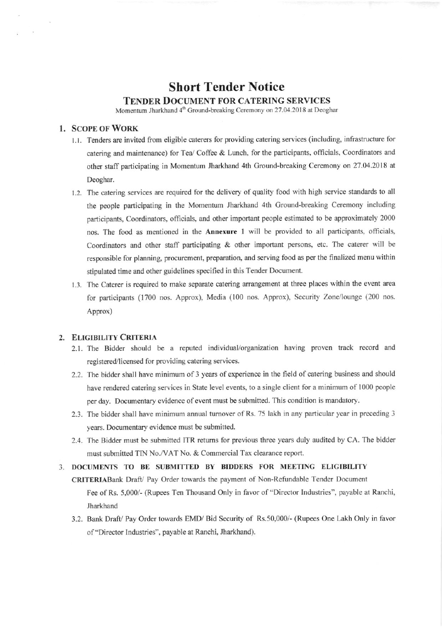## Short Tender Notice TENDER DoCUMENT FOR CATERING SERVICES

Momentum Jharkhand 4<sup>th</sup> Ground-breaking Ceremony on 27.04.2018 at Deoghar

#### 1. SCOPE OF WORK

 $\mathcal{A}$ 

- 1.1. Tenders are invited from eligible caterers for providing catering services (including, infrastructure for catering and maintenance) for Tea/ Coffee & Lunch, for the participants, officials, Coordinators and other staff participating in Momentum Jharkhand 4th Ground-breaking Ceremony on 27.04.2018 at Deoghar.
- 1.2. The catering services are required for the delivery of quality food with high service standards to all the people participating in the Momentum Jharkhand 4th Ground-breaking Ceremony including participants, Coordinators, officials, and other important people estimated to be approximately 2000 nos. The food as mentioned in the Annerure I will be provided to all participarts, officials, Coordinators and other staff participating & other important persons, etc. The caterer will be responsible for planning, procurement, preparation, and serving food as per the finalized menu within stipulated time and other guidelines specified in this Tender Document.
- 1.3. The Caterer is required to make separate catering arrangement at three places within the event area for participants (1700 nos. Approx), Media (100 nos. Approx), Security Zone/lounge (200 nos. Approx)

#### 2. ELIGIBILITYCRITERIA

- 2.1. The Bidder should be a reputed individual/organization having proven track record and registered/licensed for providing catering services.
- 2.2. The bidder shall have minimum of 3 years of experience in the field of catering business and should have rendered catering services in State level events, to a single client for a minimum of 1000 people per day. Documentary evidence of event must be submitted. This condition is mandatory.
- 2.3. The bidder shall have minimum annual turnover of Rs. 75 lakh in any particular year in preceding 3 years, Documentary evidence must be submitted.
- 2.4. The Bidder must be submitted ITR retums for previous thee years duly audited by CA. The bidder must submitted TIN No./VAT No. & Commercial Tax clearance report.

### 3. DOCUMENTS TO BE SUBMITTED BY BIDDERS FOR MEETING ELIGIBILITY

CRITERIABank Draft/ Pay Order towards the payment of Non-Refundable Tender Document Fee of Rs. 5,000/- (Rupees Ten Thousand Only in favor of "Director Industries", payable at Ranchi, Jharkhand

3.2. Bank Draft/ Pay Order towards EMD/ Bid Security of Rs.50,000/- (Rupees One Lakh Only in favor of "Director Industries", payable at Ranchi, Jharkhand).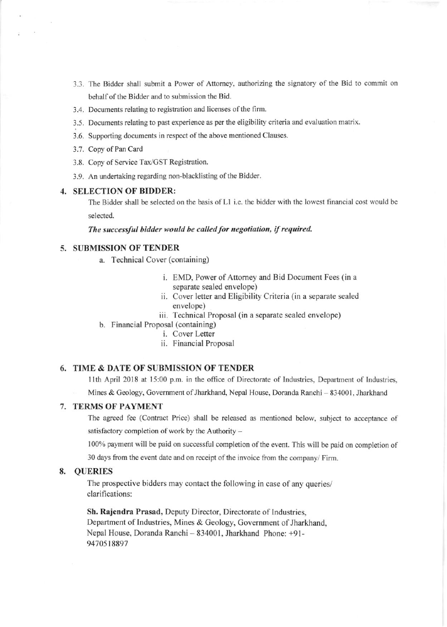- 3.3. The Bidder shall submit a Power of Attorney, authorizing the signatory of the Bid to commit on behalf of the Bidder and to submission the Bid.
- 3.4. Documents relating to registration and licenses of the firm.
- 3.5. Documents relating to past experience as per the eligibility criteria and evaluation matrix.
- 3.6. Supporting documents in respect of the above mentioned Clauses.
- 3.7. Copy of Pan Card
- 3.8. Copy of Service Tax/GST Registration.
- 3.9. An undertaking regarding non-blacklisting of the Bidder.

#### 4. SELECTION OF BIDDER:

The Bidder shall be selected on the basis of L1 i.e. the bidder with the lowest financial cost would be selected.

The successful bidder would be called for negotiation, if required.

#### 5. SUBMISSION OF TENDER

- a. Technical Cover (containing)
	- i. EMD, Power of Attorney and Bid Document Fees (in a separate sealed envelope)
	- ii. Cover letter and Eligibility Criteria (in a separate sealed envelope)
	- iii. Technical Proposal (in a separate sealed envelope)
- b. Financial Proposal (containing)
	- i. Cover Letter
	- ii. Financial Proposal

#### 6. TIME & DATE OF SUBMISSION OF TENDER

11th April 2018 at 15:00 p.m. in the office of Directorate of Industries, Department of Industries,

Mines & Geology, Government of Jharkhand, Nepal House, Doranda Ranchi - 834001, Jharkhand

#### 7. TERMS OF PAYMENT

The ageed fee (Contract Price) shall be released as mentioned below, subject to acceptance of satisfactory completion of work by the Authority  $-$ 

100% payment will be paid on successful completion of the event. This will be paid on completion of

30 days from the event date and on receipt of the invoice from the company/ Firm.

#### 8. QUERIES

The prospective bidders may contact the following in case of any queries/ clarifications:

Sh. Rajendra Prasad, Deputy Director, Directorate of lndustries, Department of Industries, Mines & Geology, Government of Jharkhand. Nepal House, Doranda Ranchi - 834001, Jharkhand Phone: +91-9470518897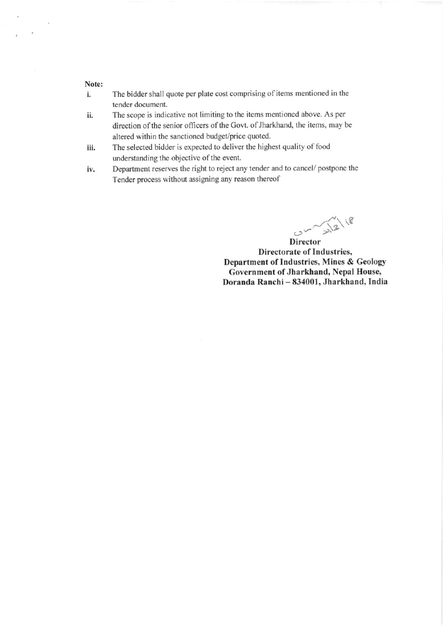#### Note:

- The bidder shall quote per plate cost comprising of items mentioned in the i. tender document.
- ll. The scope is indicative not limiting to the items mentioned above. As per direction of the senior officers of the Govt. of Jharkhand, the items, may be altered within the sanctioned budget/price quoted.
- iii. The selected bidder is expected to deliver the highest quality of food understanding the objective of the event.
- iv. Department reserves the right to reject any tender and to cancel/ postpone the Tender process without assigning any reason thereof

 $\frac{1}{2}$  $\sim$   $\sim$   $\sim$ 

Director Directorate of Industries. Department of Industries, Mines & Ceology Government of Jharkhand, Nepal House, Doranda Ranchi - 834001, Jharkhand, India